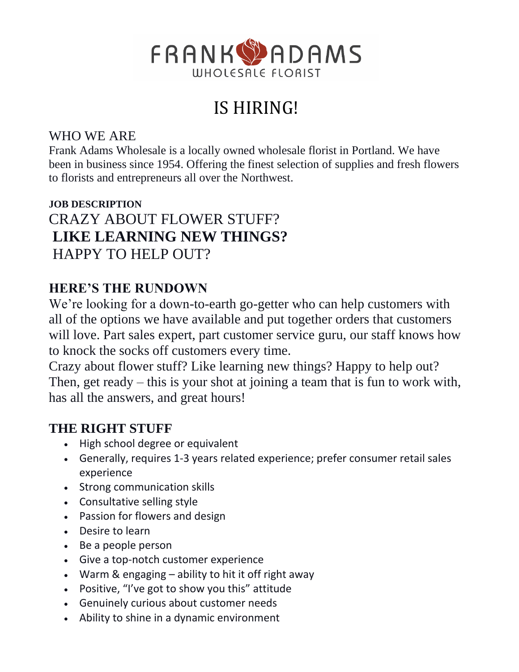

# IS HIRING!

### WHO WE ARE

Frank Adams Wholesale is a locally owned wholesale florist in Portland. We have been in business since 1954. Offering the finest selection of supplies and fresh flowers to florists and entrepreneurs all over the Northwest.

## **JOB DESCRIPTION** CRAZY ABOUT FLOWER STUFF? **LIKE LEARNING NEW THINGS?** HAPPY TO HELP OUT?

## **HERE'S THE RUNDOWN**

We're looking for a down-to-earth go-getter who can help customers with all of the options we have available and put together orders that customers will love. Part sales expert, part customer service guru, our staff knows how to knock the socks off customers every time.

Crazy about flower stuff? Like learning new things? Happy to help out? Then, get ready – this is your shot at joining a team that is fun to work with, has all the answers, and great hours!

## **THE RIGHT STUFF**

- High school degree or equivalent
- Generally, requires 1-3 years related experience; prefer consumer retail sales experience
- Strong communication skills
- Consultative selling style
- Passion for flowers and design
- Desire to learn
- Be a people person
- Give a top-notch customer experience
- Warm & engaging ability to hit it off right away
- Positive, "I've got to show you this" attitude
- Genuinely curious about customer needs
- Ability to shine in a dynamic environment